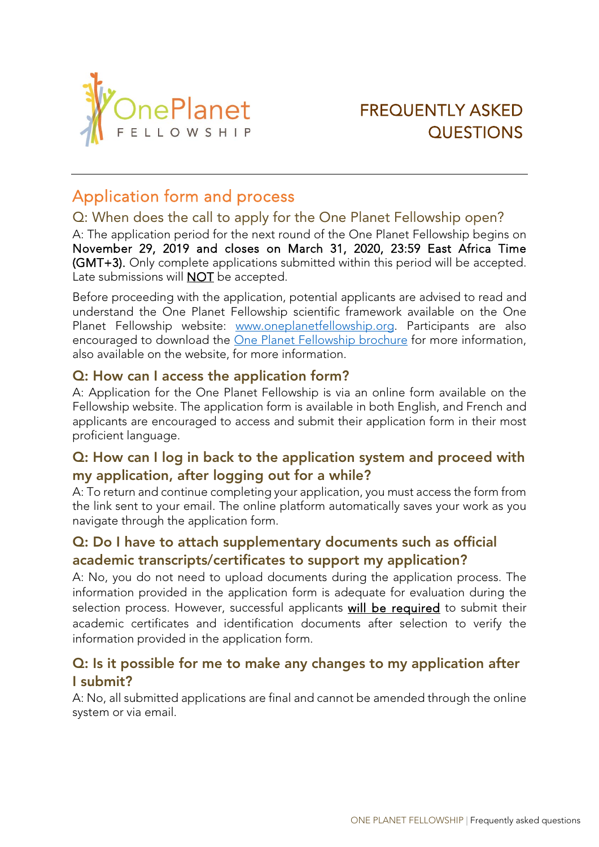

# FREQUENTLY ASKED **QUESTIONS**

## Application form and process

### Q: When does the call to apply for the One Planet Fellowship open?

A: The application period for the next round of the One Planet Fellowship begins on November 29, 2019 and closes on March 31, 2020, 23:59 East Africa Time (GMT+3). Only complete applications submitted within this period will be accepted. Late submissions will **NOT** be accepted.

Before proceeding with the application, potential applicants are advised to read and understand the One Planet Fellowship scientific framework available on the One Planet Fellowship website: [www.oneplanetfellowship.org.](http://www.oneplanetfellowship.org/) Participants are also encouraged to download the [One Planet Fellowship brochure](https://awardfellowships.org/downloads/One_Planet_Fellowship_Brochure_English.pdf) for more information, also available on the website, for more information.

#### Q: How can I access the application form?

A: Application for the One Planet Fellowship is via an online form available on the Fellowship website. The application form is available in both English, and French and applicants are encouraged to access and submit their application form in their most proficient language.

### Q: How can I log in back to the application system and proceed with my application, after logging out for a while?

A: To return and continue completing your application, you must access the form from the link sent to your email. The online platform automatically saves your work as you navigate through the application form.

### Q: Do I have to attach supplementary documents such as official academic transcripts/certificates to support my application?

A: No, you do not need to upload documents during the application process. The information provided in the application form is adequate for evaluation during the selection process. However, successful applicants will be required to submit their academic certificates and identification documents after selection to verify the information provided in the application form.

### Q: Is it possible for me to make any changes to my application after I submit?

A: No, all submitted applications are final and cannot be amended through the online system or via email.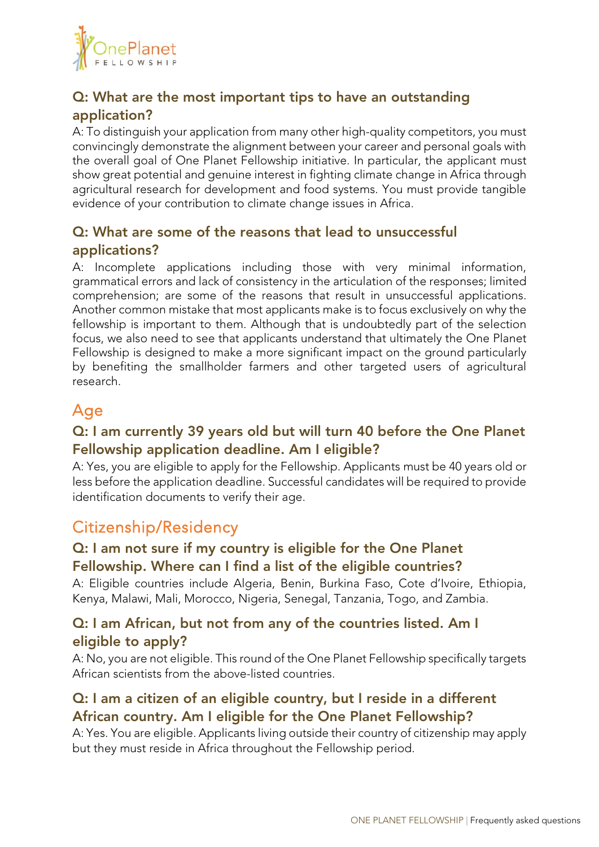

### Q: What are the most important tips to have an outstanding application?

A: To distinguish your application from many other high-quality competitors, you must convincingly demonstrate the alignment between your career and personal goals with the overall goal of One Planet Fellowship initiative. In particular, the applicant must show great potential and genuine interest in fighting climate change in Africa through agricultural research for development and food systems. You must provide tangible evidence of your contribution to climate change issues in Africa.

### Q: What are some of the reasons that lead to unsuccessful applications?

A: Incomplete applications including those with very minimal information, grammatical errors and lack of consistency in the articulation of the responses; limited comprehension; are some of the reasons that result in unsuccessful applications. Another common mistake that most applicants make is to focus exclusively on why the fellowship is important to them. Although that is undoubtedly part of the selection focus, we also need to see that applicants understand that ultimately the One Planet Fellowship is designed to make a more significant impact on the ground particularly by benefiting the smallholder farmers and other targeted users of agricultural research.

## Age

### Q: I am currently 39 years old but will turn 40 before the One Planet Fellowship application deadline. Am I eligible?

A: Yes, you are eligible to apply for the Fellowship. Applicants must be 40 years old or less before the application deadline. Successful candidates will be required to provide identification documents to verify their age.

## Citizenship/Residency

### Q: I am not sure if my country is eligible for the One Planet Fellowship. Where can I find a list of the eligible countries?

A: Eligible countries include Algeria, Benin, Burkina Faso, Cote d'Ivoire, Ethiopia, Kenya, Malawi, Mali, Morocco, Nigeria, Senegal, Tanzania, Togo, and Zambia.

### Q: I am African, but not from any of the countries listed. Am I eligible to apply?

A: No, you are not eligible. This round of the One Planet Fellowship specifically targets African scientists from the above-listed countries.

### Q: I am a citizen of an eligible country, but I reside in a different African country. Am I eligible for the One Planet Fellowship?

A: Yes. You are eligible. Applicants living outside their country of citizenship may apply but they must reside in Africa throughout the Fellowship period.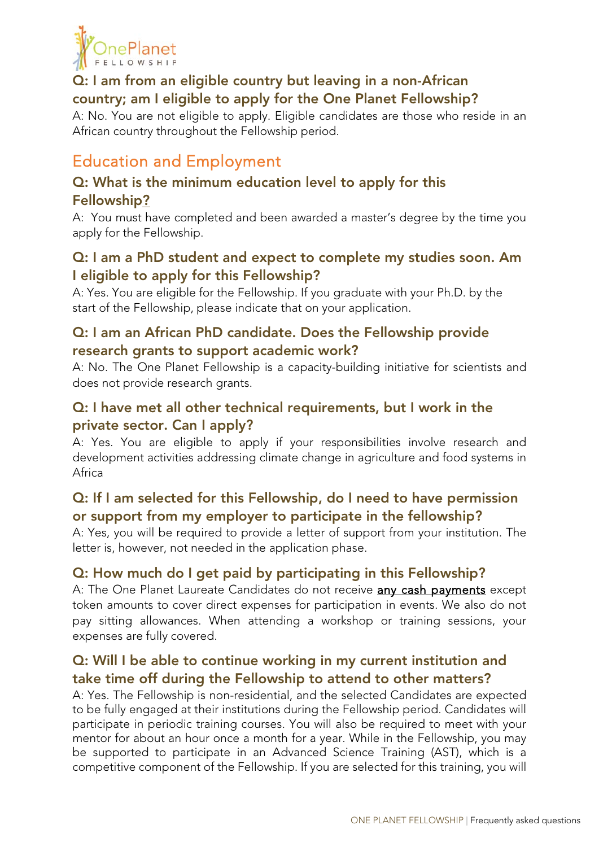

### Q: I am from an eligible country but leaving in a non-African country; am I eligible to apply for the One Planet Fellowship?

A: No. You are not eligible to apply. Eligible candidates are those who reside in an African country throughout the Fellowship period.

## Education and Employment

### Q: What is the minimum education level to apply for this Fellowship?

A: You must have completed and been awarded a master's degree by the time you apply for the Fellowship.

### Q: I am a PhD student and expect to complete my studies soon. Am I eligible to apply for this Fellowship?

A: Yes. You are eligible for the Fellowship. If you graduate with your Ph.D. by the start of the Fellowship, please indicate that on your application.

### Q: I am an African PhD candidate. Does the Fellowship provide research grants to support academic work?

A: No. The One Planet Fellowship is a capacity-building initiative for scientists and does not provide research grants.

### Q: I have met all other technical requirements, but I work in the private sector. Can I apply?

A: Yes. You are eligible to apply if your responsibilities involve research and development activities addressing climate change in agriculture and food systems in Africa

### Q: If I am selected for this Fellowship, do I need to have permission or support from my employer to participate in the fellowship?

A: Yes, you will be required to provide a letter of support from your institution. The letter is, however, not needed in the application phase.

### Q: How much do I get paid by participating in this Fellowship?

A: The One Planet Laureate Candidates do not receive any cash payments except token amounts to cover direct expenses for participation in events. We also do not pay sitting allowances. When attending a workshop or training sessions, your expenses are fully covered.

### Q: Will I be able to continue working in my current institution and take time off during the Fellowship to attend to other matters?

A: Yes. The Fellowship is non-residential, and the selected Candidates are expected to be fully engaged at their institutions during the Fellowship period. Candidates will participate in periodic training courses. You will also be required to meet with your mentor for about an hour once a month for a year. While in the Fellowship, you may be supported to participate in an Advanced Science Training (AST), which is a competitive component of the Fellowship. If you are selected for this training, you will